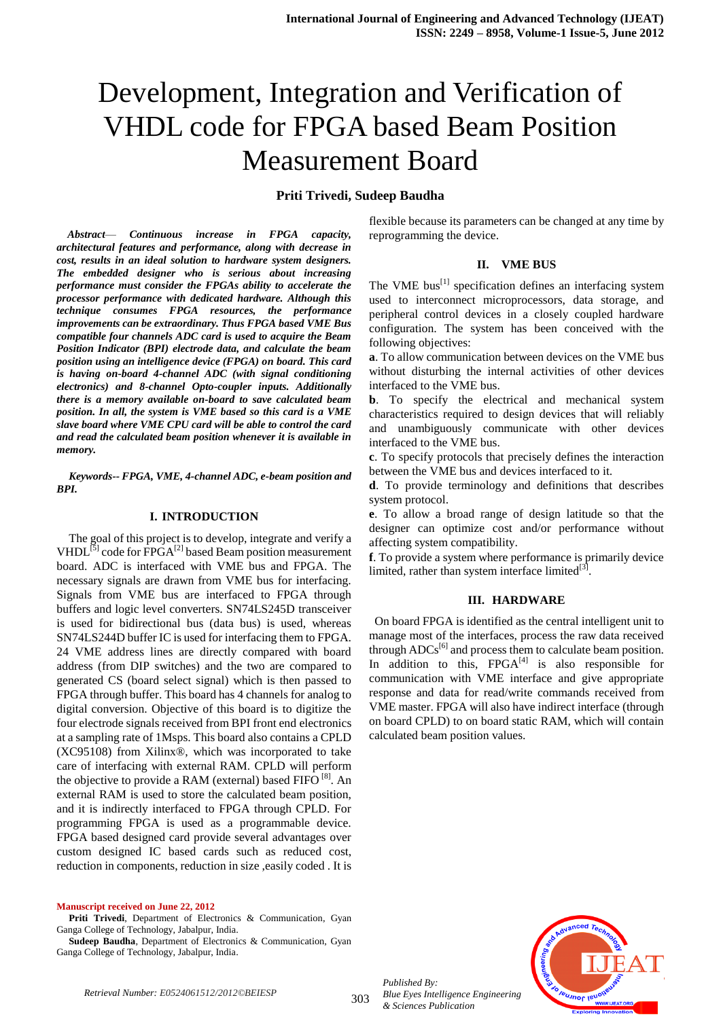# Development, Integration and Verification of VHDL code for FPGA based Beam Position Measurement Board

# **Priti Trivedi, Sudeep Baudha**

*Abstract*— *Continuous increase in FPGA capacity, architectural features and performance, along with decrease in cost, results in an ideal solution to hardware system designers. The embedded designer who is serious about increasing performance must consider the FPGAs ability to accelerate the processor performance with dedicated hardware. Although this technique consumes FPGA resources, the performance improvements can be extraordinary. Thus FPGA based VME Bus compatible four channels ADC card is used to acquire the Beam Position Indicator (BPI) electrode data, and calculate the beam position using an intelligence device (FPGA) on board. This card is having on-board 4-channel ADC (with signal conditioning electronics) and 8-channel Opto-coupler inputs. Additionally there is a memory available on-board to save calculated beam position. In all, the system is VME based so this card is a VME slave board where VME CPU card will be able to control the card and read the calculated beam position whenever it is available in memory.*

*Keywords-- FPGA, VME, 4-channel ADC, e-beam position and BPI.*

## **I. INTRODUCTION**

The goal of this project is to develop, integrate and verify a VHDL $^{[5]}$  code for  $\overline{F}P\overline{G}A^{[2]}$  based Beam position measurement board. ADC is interfaced with VME bus and FPGA. The necessary signals are drawn from VME bus for interfacing. Signals from VME bus are interfaced to FPGA through buffers and logic level converters. SN74LS245D transceiver is used for bidirectional bus (data bus) is used, whereas SN74LS244D buffer IC is used for interfacing them to FPGA. 24 VME address lines are directly compared with board address (from DIP switches) and the two are compared to generated CS (board select signal) which is then passed to FPGA through buffer. This board has 4 channels for analog to digital conversion. Objective of this board is to digitize the four electrode signals received from BPI front end electronics at a sampling rate of 1Msps. This board also contains a CPLD (XC95108) from Xilinx®, which was incorporated to take care of interfacing with external RAM. CPLD will perform the objective to provide a RAM (external) based FIFO<sup>[8]</sup>. An external RAM is used to store the calculated beam position, and it is indirectly interfaced to FPGA through CPLD. For programming FPGA is used as a programmable device. FPGA based designed card provide several advantages over custom designed IC based cards such as reduced cost, reduction in components, reduction in size ,easily coded . It is

#### **Manuscript received on June 22, 2012**

Priti Trivedi, Department of Electronics & Communication, Gyan Ganga College of Technology, Jabalpur, India.

**Sudeep Baudha**, Department of Electronics & Communication, Gyan Ganga College of Technology, Jabalpur, India.

flexible because its parameters can be changed at any time by reprogramming the device.

#### **II. VME BUS**

The VME bus<sup>[1]</sup> specification defines an interfacing system used to interconnect microprocessors, data storage, and peripheral control devices in a closely coupled hardware configuration. The system has been conceived with the following objectives:

**a**. To allow communication between devices on the VME bus without disturbing the internal activities of other devices interfaced to the VME bus.

**b**. To specify the electrical and mechanical system characteristics required to design devices that will reliably and unambiguously communicate with other devices interfaced to the VME bus.

**c**. To specify protocols that precisely defines the interaction between the VME bus and devices interfaced to it.

**d**. To provide terminology and definitions that describes system protocol.

**e**. To allow a broad range of design latitude so that the designer can optimize cost and/or performance without affecting system compatibility.

**f**. To provide a system where performance is primarily device limited, rather than system interface limited $^{[3]}$ .

#### **III. HARDWARE**

On board FPGA is identified as the central intelligent unit to manage most of the interfaces, process the raw data received through  $\text{ADCs}^{[6]}$  and process them to calculate beam position. In addition to this,  $FPGA<sup>[4]</sup>$  is also responsible for communication with VME interface and give appropriate response and data for read/write commands received from VME master. FPGA will also have indirect interface (through on board CPLD) to on board static RAM, which will contain calculated beam position values.



*Published By: Blue Eyes Intelligence Engineering & Sciences Publication*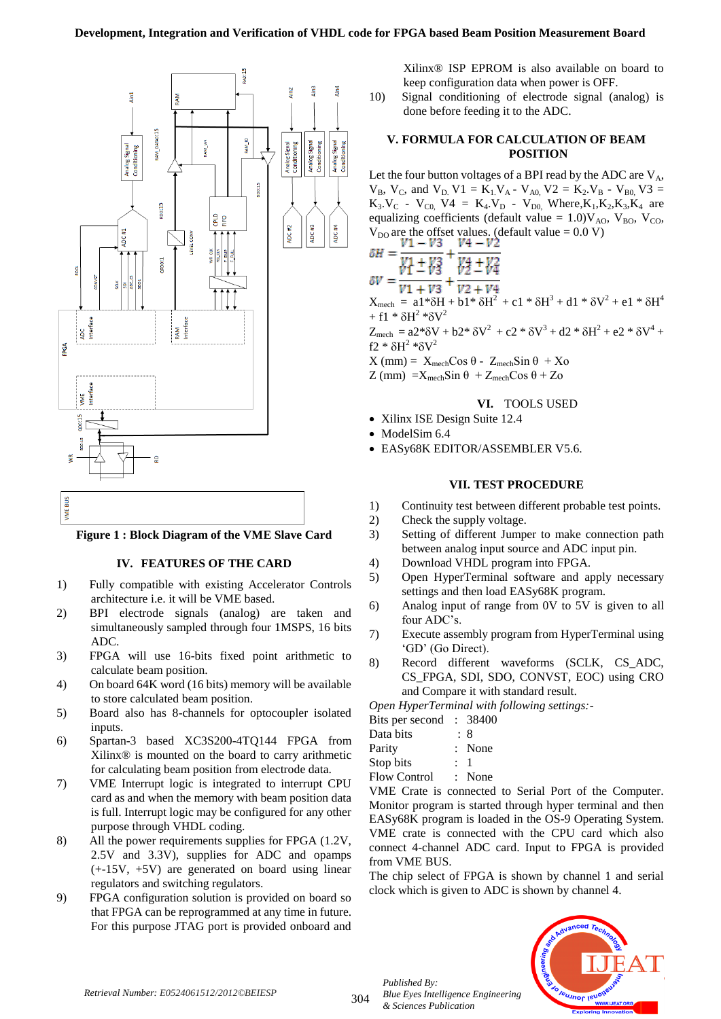

# **Figure 1 : Block Diagram of the VME Slave Card**

# **IV. FEATURES OF THE CARD**

- 1) Fully compatible with existing Accelerator Controls architecture i.e. it will be VME based.
- 2) BPI electrode signals (analog) are taken and simultaneously sampled through four 1MSPS, 16 bits ADC.
- 3) FPGA will use 16-bits fixed point arithmetic to calculate beam position.
- 4) On board 64K word (16 bits) memory will be available to store calculated beam position.
- 5) Board also has 8-channels for optocoupler isolated inputs.
- 6) Spartan-3 based XC3S200-4TQ144 FPGA from Xilinx® is mounted on the board to carry arithmetic for calculating beam position from electrode data.
- 7) VME Interrupt logic is integrated to interrupt CPU card as and when the memory with beam position data is full. Interrupt logic may be configured for any other purpose through VHDL coding.
- 8) All the power requirements supplies for FPGA (1.2V, 2.5V and 3.3V), supplies for ADC and opamps  $(+15V, +5V)$  are generated on board using linear regulators and switching regulators.
- 9) FPGA configuration solution is provided on board so that FPGA can be reprogrammed at any time in future. For this purpose JTAG port is provided onboard and

Xilinx® ISP EPROM is also available on board to keep configuration data when power is OFF.

10) Signal conditioning of electrode signal (analog) is done before feeding it to the ADC.

#### **V. FORMULA FOR CALCULATION OF BEAM POSITION**

Let the four button voltages of a BPI read by the ADC are  $V_A$ ,  $V_B$ ,  $V_C$ , and  $V_D$  V1 = K<sub>1</sub>, V<sub>A</sub> - V<sub>A0</sub>, V2 = K<sub>2</sub>, V<sub>B</sub> - V<sub>B0</sub>, V3 =  $K_3.V_C$  -  $V_{C0}$ ,  $V4 = K_4.V_D$  -  $V_{D0}$ , Where,  $K_1, K_2, K_3, K_4$  are equalizing coefficients (default value =  $1.0$ ) $V_{A0}$ ,  $V_{B0}$ ,  $V_{CO}$ ,  $V_{\text{DO}}$  are the offset values. (default value = 0.0 V)<br>  $V1 - V3$   $V4 - V2$  $\delta H = \frac{v_1 - v_3}{v_1 + v_3} + \frac{v_4 - v_2}{v_2 + v_4}$  $\frac{1}{V1 + V3} + \frac{1}{V2 + V4}$  $X_{\text{mech}} = a1* \delta H + b1* \delta H^2 + c1* \delta H^3 + d1* \delta V^2 + e1* \delta H^4$  $+ f1 * \delta H^2 * \delta V^2$  $Z_{\text{mech}} = a2* \delta V + b2* \delta V^2 + c2* \delta V^3 + d2* \delta H^2 + e2* \delta V^4 +$ f2 \* $\delta$ H<sup>2</sup> \* $\delta$ V<sup>2</sup>

 $X$ (mm) =  $X_{mech}Cos θ - Z_{mech}Sin θ + Xo$ 

 $Z$  (mm) =  $X_{\text{mech}}$ Sin  $\theta$  +  $Z_{\text{mech}}$ Cos  $\theta$  +  $Z$ o

## **VI.** TOOLS USED

- Xilinx ISE Design Suite 12.4
- ModelSim 6.4
- EASy68K EDITOR/ASSEMBLER V5.6.

#### **VII. TEST PROCEDURE**

- 1) Continuity test between different probable test points.
- 2) Check the supply voltage.
- 3) Setting of different Jumper to make connection path between analog input source and ADC input pin.
- 4) Download VHDL program into FPGA.
- 5) Open HyperTerminal software and apply necessary settings and then load EASy68K program.
- 6) Analog input of range from 0V to 5V is given to all four ADC"s.
- 7) Execute assembly program from HyperTerminal using "GD" (Go Direct).
- 8) Record different waveforms (SCLK, CS\_ADC, CS\_FPGA, SDI, SDO, CONVST, EOC) using CRO and Compare it with standard result.

*Open HyperTerminal with following settings:-*

| $\sigma$ pen $\pi$ , per $\pi$ er manda mand          |     |              |
|-------------------------------------------------------|-----|--------------|
| Bits per second : 38400                               |     |              |
| Data bits                                             |     | : 8          |
| Parity                                                |     | : None       |
| Stop bits                                             | : 1 |              |
| $\mathbf{\Gamma}$ $\mathbf{\Gamma}$ $\mathbf{\Gamma}$ |     | $\mathbf{M}$ |

Flow Control : None

VME Crate is connected to Serial Port of the Computer. Monitor program is started through hyper terminal and then EASy68K program is loaded in the OS-9 Operating System. VME crate is connected with the CPU card which also connect 4-channel ADC card. Input to FPGA is provided from VME BUS.

The chip select of FPGA is shown by channel 1 and serial clock which is given to ADC is shown by channel 4.



304

*Published By:*

*& Sciences Publication* 

*Blue Eyes Intelligence Engineering*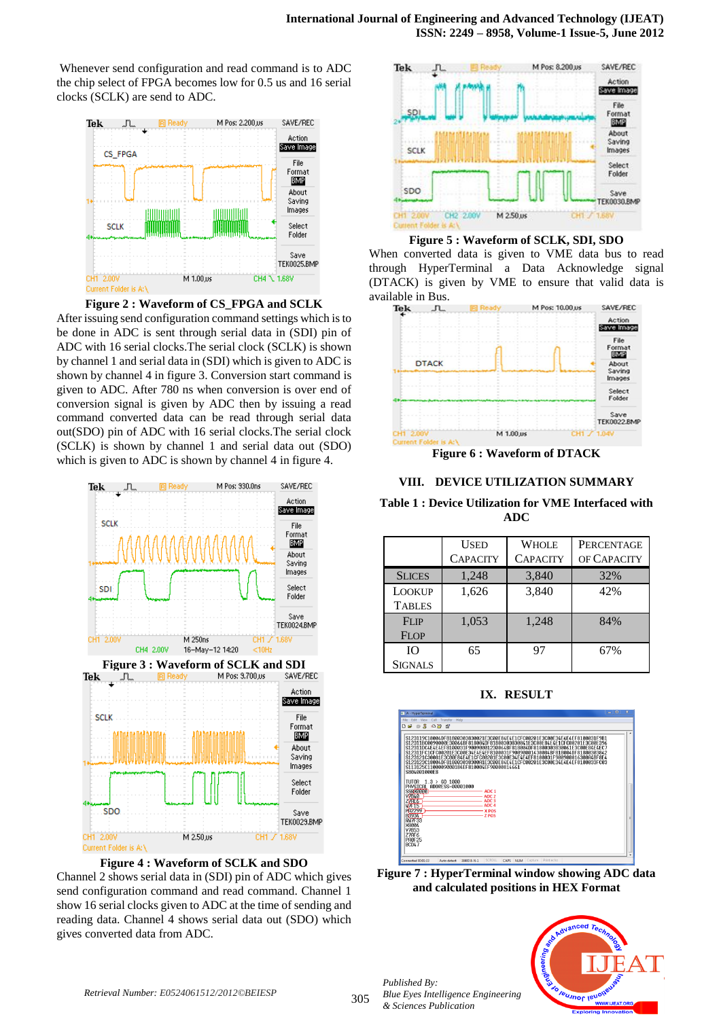Whenever send configuration and read command is to ADC the chip select of FPGA becomes low for 0.5 us and 16 serial clocks (SCLK) are send to ADC.



**Figure 2 : Waveform of CS\_FPGA and SCLK** After issuing send configuration command settings which is to be done in ADC is sent through serial data in (SDI) pin of ADC with 16 serial clocks.The serial clock (SCLK) is shown by channel 1 and serial data in (SDI) which is given to ADC is shown by channel 4 in figure 3. Conversion start command is given to ADC. After 780 ns when conversion is over end of conversion signal is given by ADC then by issuing a read command converted data can be read through serial data out(SDO) pin of ADC with 16 serial clocks.The serial clock (SCLK) is shown by channel 1 and serial data out (SDO) which is given to ADC is shown by channel 4 in figure 4.





Channel 2 shows serial data in (SDI) pin of ADC which gives send configuration command and read command. Channel 1 show 16 serial clocks given to ADC at the time of sending and reading data. Channel 4 shows serial data out (SDO) which gives converted data from ADC.



**Figure 5 : Waveform of SCLK, SDI, SDO**

When converted data is given to VME data bus to read through HyperTerminal a Data Acknowledge signal (DTACK) is given by VME to ensure that valid data is available in Bus.<br>  $Tek$   $\Box$ 



**VIII. DEVICE UTILIZATION SUMMARY**

**Table 1 : Device Utilization for VME Interfaced with ADC**

|               | <b>USED</b>     | <b>WHOLE</b>    | PERCENTAGE  |
|---------------|-----------------|-----------------|-------------|
|               | <b>CAPACITY</b> | <b>CAPACITY</b> | OF CAPACITY |
| <b>SLICES</b> | 1,248           | 3,840           | 32%         |
| LOOKUP        | 1,626           | 3,840           | 42%         |
| <b>TABLES</b> |                 |                 |             |
| FLIP          | 1,053           | 1,248           | 84%         |
| <b>FLOP</b>   |                 |                 |             |
| IΟ            | 65              | 97              | 67%         |
| SIGNALS       |                 |                 |             |

**IX. RESULT**



**Figure 7 : HyperTerminal window showing ADC data and calculated positions in HEX Format**